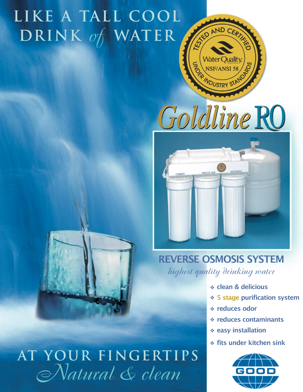## **LIKE A TALL COOL DRINK WATER** *of*



**DUSTRY ST** 

KED AND CERTIFY

Vater Ouality



## REVERSE OSMOSIS SYSTEM

*highest quality drinking water*

- clean & delicious ❖
- 5 stage purification system ❖
- reduces odor ❖
- reduces contaminants ❖
- ❖ easy installation
- **◆ fits under kitchen sink**





**AT YOUR FINGERTIPS** *Natural & clean*